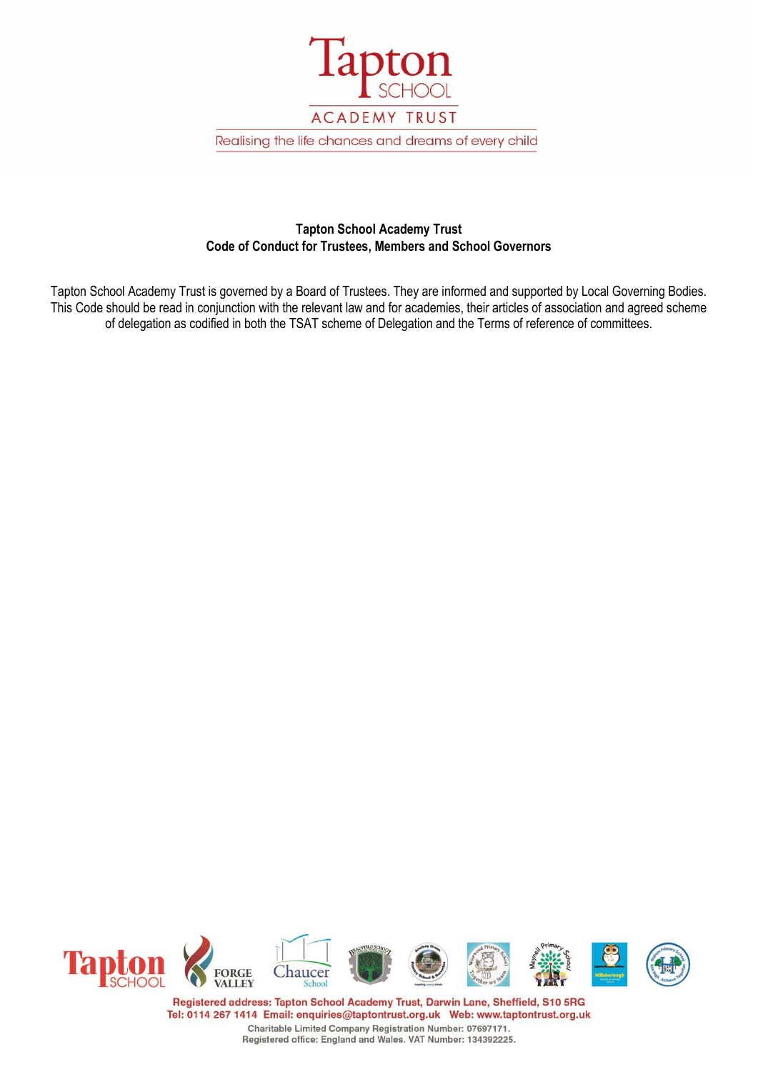

# **Tapton School Academy Trust Code of Conduct for Trustees, Members and School Governors**

Tapton School Academy Trust is governed by a Board of Trustees. They are informed and supported by Local Governing Bodies. This Code should be read in conjunction with the relevant law and for academies, their articles of association and agreed scheme of delegation as codified in both the TSAT scheme of Delegation and the Terms of reference of committees.

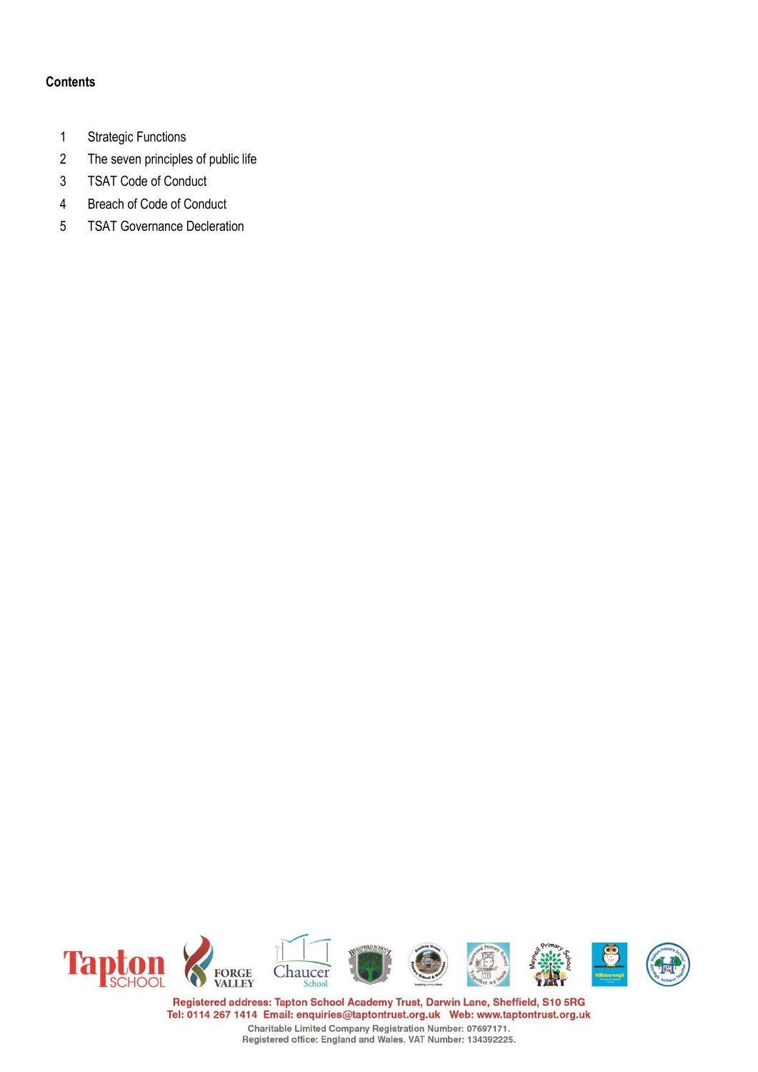## **Contents**

- 1 Strategic Functions
- 2 The seven principles of public life
- 3 TSAT Code of Conduct
- 4 Breach of Code of Conduct
- 5 TSAT Governance Decleration

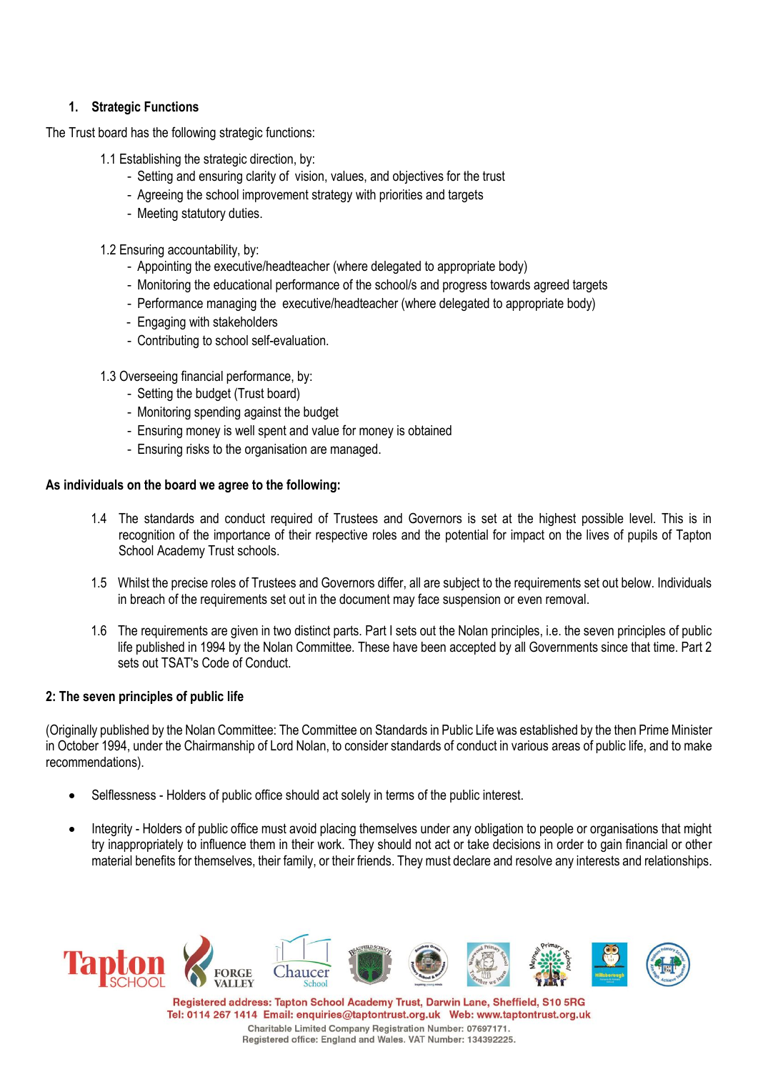## **1. Strategic Functions**

The Trust board has the following strategic functions:

- 1.1 Establishing the strategic direction, by:
	- Setting and ensuring clarity of vision, values, and objectives for the trust
	- Agreeing the school improvement strategy with priorities and targets
	- Meeting statutory duties.
- 1.2 Ensuring accountability, by:
	- Appointing the executive/headteacher (where delegated to appropriate body)
	- Monitoring the educational performance of the school/s and progress towards agreed targets
	- Performance managing the executive/headteacher (where delegated to appropriate body)
	- Engaging with stakeholders
	- Contributing to school self-evaluation.
- 1.3 Overseeing financial performance, by:
	- Setting the budget (Trust board)
	- Monitoring spending against the budget
	- Ensuring money is well spent and value for money is obtained
	- Ensuring risks to the organisation are managed.

### **As individuals on the board we agree to the following:**

- 1.4 The standards and conduct required of Trustees and Governors is set at the highest possible level. This is in recognition of the importance of their respective roles and the potential for impact on the lives of pupils of Tapton School Academy Trust schools.
- 1.5 Whilst the precise roles of Trustees and Governors differ, all are subject to the requirements set out below. Individuals in breach of the requirements set out in the document may face suspension or even removal.
- 1.6 The requirements are given in two distinct parts. Part I sets out the Nolan principles, i.e. the seven principles of public life published in 1994 by the Nolan Committee. These have been accepted by all Governments since that time. Part 2 sets out TSAT's Code of Conduct.

### **2: The seven principles of public life**

(Originally published by the Nolan Committee: The Committee on Standards in Public Life was established by the then Prime Minister in October 1994, under the Chairmanship of Lord Nolan, to consider standards of conduct in various areas of public life, and to make recommendations).

- Selflessness Holders of public office should act solely in terms of the public interest.
- Integrity Holders of public office must avoid placing themselves under any obligation to people or organisations that might try inappropriately to influence them in their work. They should not act or take decisions in order to gain financial or other material benefits for themselves, their family, or their friends. They must declare and resolve any interests and relationships.

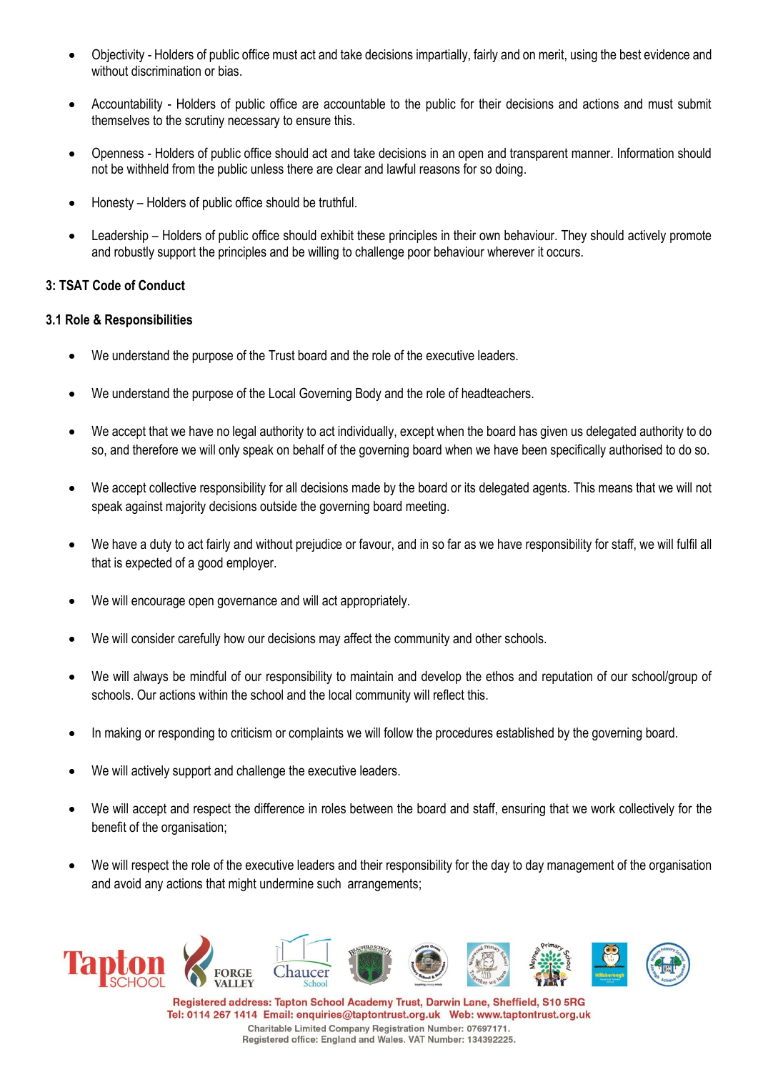- Objectivity Holders of public office must act and take decisions impartially, fairly and on merit, using the best evidence and without discrimination or bias.
- Accountability Holders of public office are accountable to the public for their decisions and actions and must submit themselves to the scrutiny necessary to ensure this.
- Openness Holders of public office should act and take decisions in an open and transparent manner. Information should not be withheld from the public unless there are clear and lawful reasons for so doing.
- Honesty Holders of public office should be truthful.
- Leadership Holders of public office should exhibit these principles in their own behaviour. They should actively promote and robustly support the principles and be willing to challenge poor behaviour wherever it occurs.

## **3: TSAT Code of Conduct**

### **3.1 Role & Responsibilities**

- We understand the purpose of the Trust board and the role of the executive leaders.
- We understand the purpose of the Local Governing Body and the role of headteachers.
- We accept that we have no legal authority to act individually, except when the board has given us delegated authority to do so, and therefore we will only speak on behalf of the governing board when we have been specifically authorised to do so.
- We accept collective responsibility for all decisions made by the board or its delegated agents. This means that we will not speak against majority decisions outside the governing board meeting.
- We have a duty to act fairly and without prejudice or favour, and in so far as we have responsibility for staff, we will fulfil all that is expected of a good employer.
- We will encourage open governance and will act appropriately.
- We will consider carefully how our decisions may affect the community and other schools.
- We will always be mindful of our responsibility to maintain and develop the ethos and reputation of our school/group of schools. Our actions within the school and the local community will reflect this.
- In making or responding to criticism or complaints we will follow the procedures established by the governing board.
- We will actively support and challenge the executive leaders.
- We will accept and respect the difference in roles between the board and staff, ensuring that we work collectively for the benefit of the organisation;
- We will respect the role of the executive leaders and their responsibility for the day to day management of the organisation and avoid any actions that might undermine such arrangements;

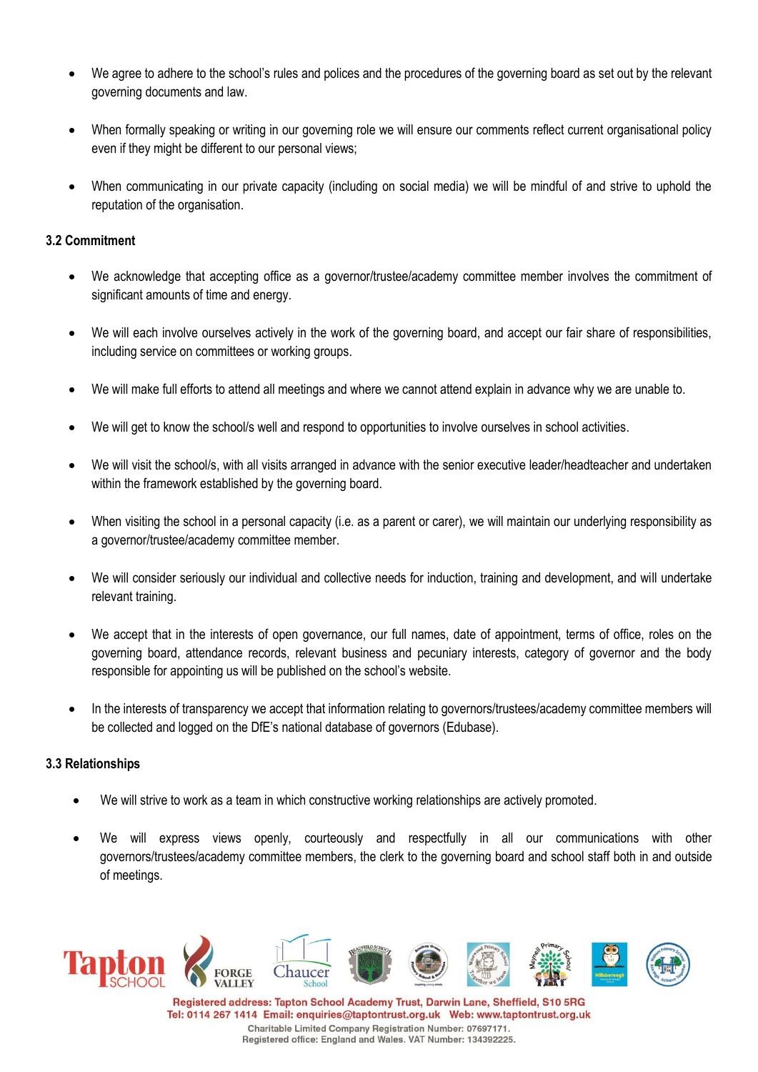- We agree to adhere to the school's rules and polices and the procedures of the governing board as set out by the relevant governing documents and law.
- When formally speaking or writing in our governing role we will ensure our comments reflect current organisational policy even if they might be different to our personal views;
- When communicating in our private capacity (including on social media) we will be mindful of and strive to uphold the reputation of the organisation.

## **3.2 Commitment**

- We acknowledge that accepting office as a governor/trustee/academy committee member involves the commitment of significant amounts of time and energy.
- We will each involve ourselves actively in the work of the governing board, and accept our fair share of responsibilities, including service on committees or working groups.
- We will make full efforts to attend all meetings and where we cannot attend explain in advance why we are unable to.
- We will get to know the school/s well and respond to opportunities to involve ourselves in school activities.
- We will visit the school/s, with all visits arranged in advance with the senior executive leader/headteacher and undertaken within the framework established by the governing board.
- When visiting the school in a personal capacity (i.e. as a parent or carer), we will maintain our underlying responsibility as a governor/trustee/academy committee member.
- We will consider seriously our individual and collective needs for induction, training and development, and will undertake relevant training.
- We accept that in the interests of open governance, our full names, date of appointment, terms of office, roles on the governing board, attendance records, relevant business and pecuniary interests, category of governor and the body responsible for appointing us will be published on the school's website.
- In the interests of transparency we accept that information relating to governors/trustees/academy committee members will be collected and logged on the DfE's national database of governors (Edubase).

### **3.3 Relationships**

- We will strive to work as a team in which constructive working relationships are actively promoted.
- We will express views openly, courteously and respectfully in all our communications with other governors/trustees/academy committee members, the clerk to the governing board and school staff both in and outside of meetings.

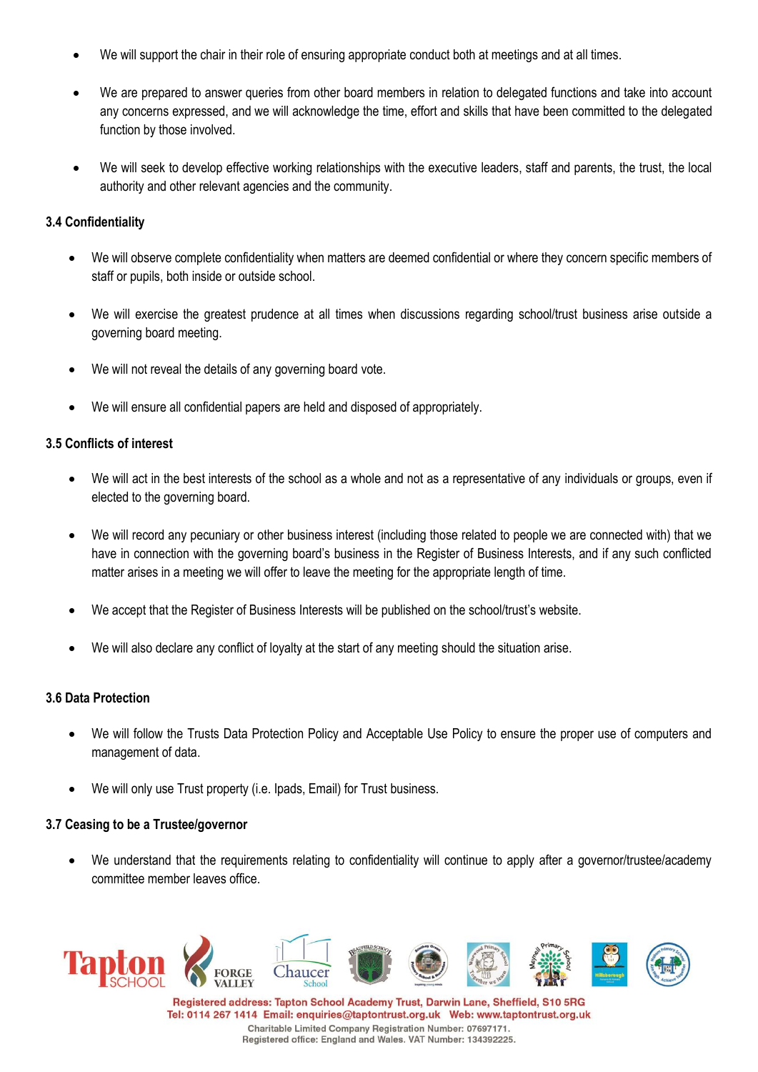- We will support the chair in their role of ensuring appropriate conduct both at meetings and at all times.
- We are prepared to answer queries from other board members in relation to delegated functions and take into account any concerns expressed, and we will acknowledge the time, effort and skills that have been committed to the delegated function by those involved.
- We will seek to develop effective working relationships with the executive leaders, staff and parents, the trust, the local authority and other relevant agencies and the community.

## **3.4 Confidentiality**

- We will observe complete confidentiality when matters are deemed confidential or where they concern specific members of staff or pupils, both inside or outside school.
- We will exercise the greatest prudence at all times when discussions regarding school/trust business arise outside a governing board meeting.
- We will not reveal the details of any governing board vote.
- We will ensure all confidential papers are held and disposed of appropriately.

### **3.5 Conflicts of interest**

- We will act in the best interests of the school as a whole and not as a representative of any individuals or groups, even if elected to the governing board.
- We will record any pecuniary or other business interest (including those related to people we are connected with) that we have in connection with the governing board's business in the Register of Business Interests, and if any such conflicted matter arises in a meeting we will offer to leave the meeting for the appropriate length of time.
- We accept that the Register of Business Interests will be published on the school/trust's website.
- We will also declare any conflict of loyalty at the start of any meeting should the situation arise.

### **3.6 Data Protection**

- We will follow the Trusts Data Protection Policy and Acceptable Use Policy to ensure the proper use of computers and management of data.
- We will only use Trust property (i.e. loads, Email) for Trust business.

### **3.7 Ceasing to be a Trustee/governor**

• We understand that the requirements relating to confidentiality will continue to apply after a governor/trustee/academy committee member leaves office.